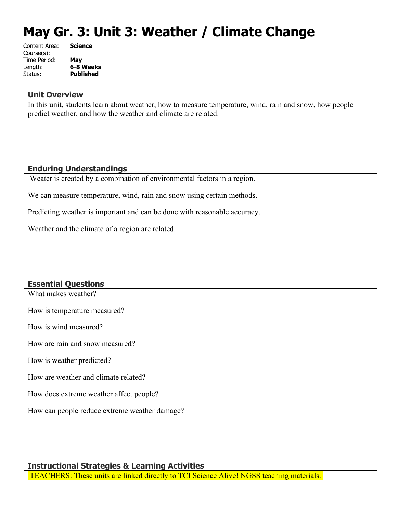# **May Gr. 3: Unit 3: Weather / Climate Change**

| Content Area: | <b>Science</b>   |
|---------------|------------------|
| Course(s):    |                  |
| Time Period:  | May              |
| Length:       | 6-8 Weeks        |
| Status:       | <b>Published</b> |
|               |                  |

#### **Unit Overview**

In this unit, students learn about weather, how to measure temperature, wind, rain and snow, how people predict weather, and how the weather and climate are related.

#### **Enduring Understandings**

Weater is created by a combination of environmental factors in a region.

We can measure temperature, wind, rain and snow using certain methods.

Predicting weather is important and can be done with reasonable accuracy.

Weather and the climate of a region are related.

#### **Essential Questions**

What makes weather?

How is temperature measured?

How is wind measured?

How are rain and snow measured?

How is weather predicted?

How are weather and climate related?

How does extreme weather affect people?

How can people reduce extreme weather damage?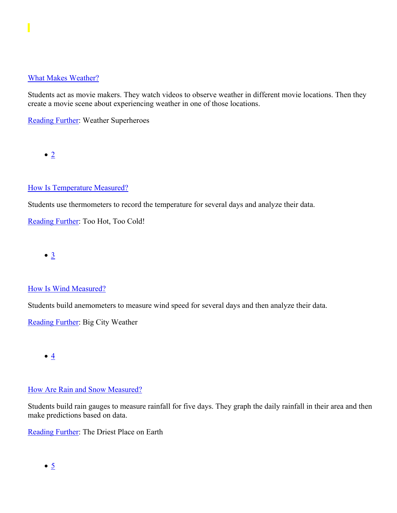#### [What Makes Weather?](https://subscriptions.teachtci.com/shared/programs/154/lessons/1598/slide_shows)

Students act as movie makers. They watch videos to observe weather in different movie locations. Then they create a movie scene about experiencing weather in one of those locations.

[Reading Further](https://subscriptions.teachtci.com/shared/sections/11400?program_id=154&student_view=true): Weather Superheroes

 $\bullet$  [2](https://subscriptions.teachtci.com/shared/programs/154/lessons/1494/slide_shows)

#### [How Is Temperature Measured?](https://subscriptions.teachtci.com/shared/programs/154/lessons/1494/slide_shows)

Students use thermometers to record the temperature for several days and analyze their data.

[Reading Further](https://subscriptions.teachtci.com/shared/sections/11421?program_id=154&student_view=true): Too Hot, Too Cold!

 $\bullet$   $\underline{3}$  $\underline{3}$  $\underline{3}$ 

#### [How Is Wind Measured?](https://subscriptions.teachtci.com/shared/programs/154/lessons/1495/slide_shows)

Students build anemometers to measure wind speed for several days and then analyze their data.

[Reading Further](https://subscriptions.teachtci.com/shared/sections/11430?program_id=154&student_view=true): Big City Weather

 $\bullet$   $4$ 

#### [How Are Rain and Snow Measured?](https://subscriptions.teachtci.com/shared/programs/154/lessons/1496/slide_shows)

Students build rain gauges to measure rainfall for five days. They graph the daily rainfall in their area and then make predictions based on data.

[Reading Further](https://subscriptions.teachtci.com/shared/sections/11443?program_id=154&student_view=true): The Driest Place on Earth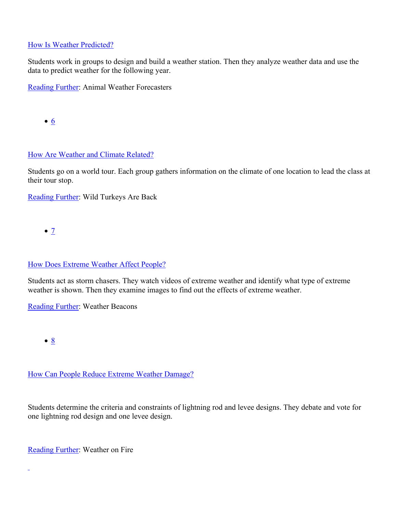#### [How Is Weather Predicted?](https://subscriptions.teachtci.com/shared/programs/154/lessons/1497/slide_shows)

Students work in groups to design and build a weather station. Then they analyze weather data and use the data to predict weather for the following year.

[Reading Further](https://subscriptions.teachtci.com/shared/sections/11450?program_id=154&student_view=true): Animal Weather Forecasters

[6](https://subscriptions.teachtci.com/shared/programs/154/lessons/1498/slide_shows)

#### [How Are Weather and Climate Related?](https://subscriptions.teachtci.com/shared/programs/154/lessons/1498/slide_shows)

Students go on a world tour. Each group gathers information on the climate of one location to lead the class at their tour stop.

[Reading Further](https://subscriptions.teachtci.com/shared/sections/11459?program_id=154&student_view=true): Wild Turkeys Are Back

 $\bullet$  [7](https://subscriptions.teachtci.com/shared/programs/154/lessons/1499/slide_shows)

#### [How Does Extreme Weather Affect People?](https://subscriptions.teachtci.com/shared/programs/154/lessons/1499/slide_shows)

Students act as storm chasers. They watch videos of extreme weather and identify what type of extreme weather is shown. Then they examine images to find out the effects of extreme weather.

[Reading Further](https://subscriptions.teachtci.com/shared/sections/11468?program_id=154&student_view=true): Weather Beacons

 $\bullet$  [8](https://subscriptions.teachtci.com/shared/programs/154/lessons/1500/slide_shows)

 $\overline{a}$ 

#### [How Can People Reduce Extreme Weather Damage?](https://subscriptions.teachtci.com/shared/programs/154/lessons/1500/slide_shows)

Students determine the criteria and constraints of lightning rod and levee designs. They debate and vote for one lightning rod design and one levee design.

[Reading Further](https://subscriptions.teachtci.com/shared/sections/11482?program_id=154&student_view=true): Weather on Fire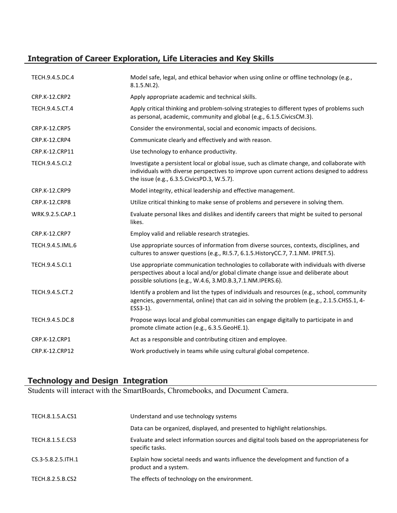## **Integration of Career Exploration, Life Literacies and Key Skills**

| TECH.9.4.5.DC.4      | Model safe, legal, and ethical behavior when using online or offline technology (e.g.,<br>8.1.5.NI.2).                                                                                                                                       |
|----------------------|----------------------------------------------------------------------------------------------------------------------------------------------------------------------------------------------------------------------------------------------|
| <b>CRP.K-12.CRP2</b> | Apply appropriate academic and technical skills.                                                                                                                                                                                             |
| TECH.9.4.5.CT.4      | Apply critical thinking and problem-solving strategies to different types of problems such<br>as personal, academic, community and global (e.g., 6.1.5. Civics CM.3).                                                                        |
| <b>CRP.K-12.CRP5</b> | Consider the environmental, social and economic impacts of decisions.                                                                                                                                                                        |
| CRP.K-12.CRP4        | Communicate clearly and effectively and with reason.                                                                                                                                                                                         |
| CRP.K-12.CRP11       | Use technology to enhance productivity.                                                                                                                                                                                                      |
| TECH.9.4.5.Cl.2      | Investigate a persistent local or global issue, such as climate change, and collaborate with<br>individuals with diverse perspectives to improve upon current actions designed to address<br>the issue (e.g., 6.3.5. Civics PD.3, W.5.7).    |
| CRP.K-12.CRP9        | Model integrity, ethical leadership and effective management.                                                                                                                                                                                |
| CRP.K-12.CRP8        | Utilize critical thinking to make sense of problems and persevere in solving them.                                                                                                                                                           |
| WRK.9.2.5.CAP.1      | Evaluate personal likes and dislikes and identify careers that might be suited to personal<br>likes.                                                                                                                                         |
| <b>CRP.K-12.CRP7</b> | Employ valid and reliable research strategies.                                                                                                                                                                                               |
| TECH.9.4.5.IML.6     | Use appropriate sources of information from diverse sources, contexts, disciplines, and<br>cultures to answer questions (e.g., RI.5.7, 6.1.5. HistoryCC.7, 7.1.NM. IPRET.5).                                                                 |
| TECH.9.4.5.Cl.1      | Use appropriate communication technologies to collaborate with individuals with diverse<br>perspectives about a local and/or global climate change issue and deliberate about<br>possible solutions (e.g., W.4.6, 3.MD.B.3, 7.1.NM.IPERS.6). |
| TECH.9.4.5.CT.2      | Identify a problem and list the types of individuals and resources (e.g., school, community<br>agencies, governmental, online) that can aid in solving the problem (e.g., 2.1.5.CHSS.1, 4-<br>ESS3-1).                                       |
| TECH.9.4.5.DC.8      | Propose ways local and global communities can engage digitally to participate in and<br>promote climate action (e.g., 6.3.5.GeoHE.1).                                                                                                        |
| <b>CRP.K-12.CRP1</b> | Act as a responsible and contributing citizen and employee.                                                                                                                                                                                  |
| CRP.K-12.CRP12       | Work productively in teams while using cultural global competence.                                                                                                                                                                           |

#### **Technology and Design Integration**

Students will interact with the SmartBoards, Chromebooks, and Document Camera.

| TECH.8.1.5.A.CS1    | Understand and use technology systems                                                                         |
|---------------------|---------------------------------------------------------------------------------------------------------------|
|                     | Data can be organized, displayed, and presented to highlight relationships.                                   |
| TECH.8.1.5.E.CS3    | Evaluate and select information sources and digital tools based on the appropriateness for<br>specific tasks. |
| CS.3-5.8.2.5. ITH.1 | Explain how societal needs and wants influence the development and function of a<br>product and a system.     |
| TECH.8.2.5.B.CS2    | The effects of technology on the environment.                                                                 |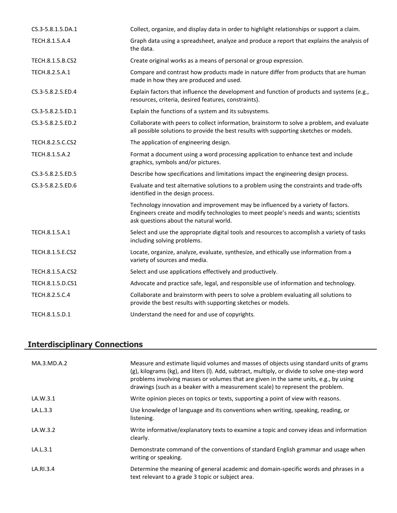| CS.3-5.8.1.5.DA.1 | Collect, organize, and display data in order to highlight relationships or support a claim.                                                                                                                         |
|-------------------|---------------------------------------------------------------------------------------------------------------------------------------------------------------------------------------------------------------------|
| TECH.8.1.5.A.4    | Graph data using a spreadsheet, analyze and produce a report that explains the analysis of<br>the data.                                                                                                             |
| TECH.8.1.5.B.CS2  | Create original works as a means of personal or group expression.                                                                                                                                                   |
| TECH.8.2.5.A.1    | Compare and contrast how products made in nature differ from products that are human<br>made in how they are produced and used.                                                                                     |
| CS.3-5.8.2.5.ED.4 | Explain factors that influence the development and function of products and systems (e.g.,<br>resources, criteria, desired features, constraints).                                                                  |
| CS.3-5.8.2.5.ED.1 | Explain the functions of a system and its subsystems.                                                                                                                                                               |
| CS.3-5.8.2.5.ED.2 | Collaborate with peers to collect information, brainstorm to solve a problem, and evaluate<br>all possible solutions to provide the best results with supporting sketches or models.                                |
| TECH.8.2.5.C.CS2  | The application of engineering design.                                                                                                                                                                              |
| TECH.8.1.5.A.2    | Format a document using a word processing application to enhance text and include<br>graphics, symbols and/or pictures.                                                                                             |
| CS.3-5.8.2.5.ED.5 | Describe how specifications and limitations impact the engineering design process.                                                                                                                                  |
| CS.3-5.8.2.5.ED.6 | Evaluate and test alternative solutions to a problem using the constraints and trade-offs<br>identified in the design process.                                                                                      |
|                   | Technology innovation and improvement may be influenced by a variety of factors.<br>Engineers create and modify technologies to meet people's needs and wants; scientists<br>ask questions about the natural world. |
| TECH.8.1.5.A.1    | Select and use the appropriate digital tools and resources to accomplish a variety of tasks<br>including solving problems.                                                                                          |
| TECH.8.1.5.E.CS2  | Locate, organize, analyze, evaluate, synthesize, and ethically use information from a<br>variety of sources and media.                                                                                              |
| TECH.8.1.5.A.CS2  | Select and use applications effectively and productively.                                                                                                                                                           |
| TECH.8.1.5.D.CS1  | Advocate and practice safe, legal, and responsible use of information and technology.                                                                                                                               |
| TECH.8.2.5.C.4    | Collaborate and brainstorm with peers to solve a problem evaluating all solutions to<br>provide the best results with supporting sketches or models.                                                                |
| TECH.8.1.5.D.1    | Understand the need for and use of copyrights.                                                                                                                                                                      |

# **Interdisciplinary Connections**

| MA.3.MD.A.2 | Measure and estimate liquid volumes and masses of objects using standard units of grams<br>(g), kilograms (kg), and liters (I). Add, subtract, multiply, or divide to solve one-step word<br>problems involving masses or volumes that are given in the same units, e.g., by using<br>drawings (such as a beaker with a measurement scale) to represent the problem. |
|-------------|----------------------------------------------------------------------------------------------------------------------------------------------------------------------------------------------------------------------------------------------------------------------------------------------------------------------------------------------------------------------|
| LA.W.3.1    | Write opinion pieces on topics or texts, supporting a point of view with reasons.                                                                                                                                                                                                                                                                                    |
| LA.L.3.3    | Use knowledge of language and its conventions when writing, speaking, reading, or<br>listening.                                                                                                                                                                                                                                                                      |
| LA.W.3.2    | Write informative/explanatory texts to examine a topic and convey ideas and information<br>clearly.                                                                                                                                                                                                                                                                  |
| LA.L.3.1    | Demonstrate command of the conventions of standard English grammar and usage when<br>writing or speaking.                                                                                                                                                                                                                                                            |
| LA.RI.3.4   | Determine the meaning of general academic and domain-specific words and phrases in a<br>text relevant to a grade 3 topic or subject area.                                                                                                                                                                                                                            |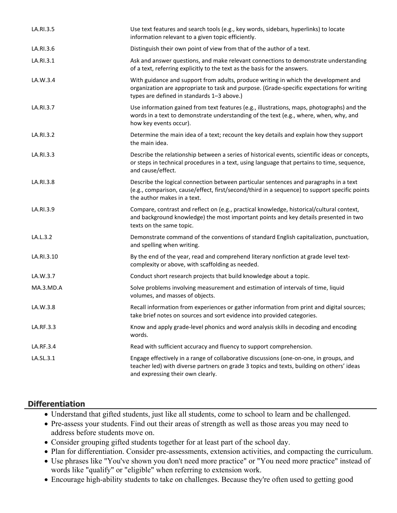| LA.RI.3.5  | Use text features and search tools (e.g., key words, sidebars, hyperlinks) to locate<br>information relevant to a given topic efficiently.                                                                                      |
|------------|---------------------------------------------------------------------------------------------------------------------------------------------------------------------------------------------------------------------------------|
| LA.RI.3.6  | Distinguish their own point of view from that of the author of a text.                                                                                                                                                          |
| LA.RI.3.1  | Ask and answer questions, and make relevant connections to demonstrate understanding<br>of a text, referring explicitly to the text as the basis for the answers.                                                               |
| LA.W.3.4   | With guidance and support from adults, produce writing in which the development and<br>organization are appropriate to task and purpose. (Grade-specific expectations for writing<br>types are defined in standards 1-3 above.) |
| LA.RI.3.7  | Use information gained from text features (e.g., illustrations, maps, photographs) and the<br>words in a text to demonstrate understanding of the text (e.g., where, when, why, and<br>how key events occur).                   |
| LA.RI.3.2  | Determine the main idea of a text; recount the key details and explain how they support<br>the main idea.                                                                                                                       |
| LA.RI.3.3  | Describe the relationship between a series of historical events, scientific ideas or concepts,<br>or steps in technical procedures in a text, using language that pertains to time, sequence,<br>and cause/effect.              |
| LA.RI.3.8  | Describe the logical connection between particular sentences and paragraphs in a text<br>(e.g., comparison, cause/effect, first/second/third in a sequence) to support specific points<br>the author makes in a text.           |
| LA.RI.3.9  | Compare, contrast and reflect on (e.g., practical knowledge, historical/cultural context,<br>and background knowledge) the most important points and key details presented in two<br>texts on the same topic.                   |
| LA.L.3.2   | Demonstrate command of the conventions of standard English capitalization, punctuation,<br>and spelling when writing.                                                                                                           |
| LA.RI.3.10 | By the end of the year, read and comprehend literary nonfiction at grade level text-<br>complexity or above, with scaffolding as needed.                                                                                        |
| LA.W.3.7   | Conduct short research projects that build knowledge about a topic.                                                                                                                                                             |
| MA.3.MD.A  | Solve problems involving measurement and estimation of intervals of time, liquid<br>volumes, and masses of objects.                                                                                                             |
| LA.W.3.8   | Recall information from experiences or gather information from print and digital sources;<br>take brief notes on sources and sort evidence into provided categories.                                                            |
| LA.RF.3.3  | Know and apply grade-level phonics and word analysis skills in decoding and encoding<br>words.                                                                                                                                  |
| LA.RF.3.4  | Read with sufficient accuracy and fluency to support comprehension.                                                                                                                                                             |
| LA.SL.3.1  | Engage effectively in a range of collaborative discussions (one-on-one, in groups, and<br>teacher led) with diverse partners on grade 3 topics and texts, building on others' ideas<br>and expressing their own clearly.        |

#### **Differentiation**

- Understand that gifted students, just like all students, come to school to learn and be challenged.
- Pre-assess your students. Find out their areas of strength as well as those areas you may need to address before students move on.
- Consider grouping gifted students together for at least part of the school day.
- Plan for differentiation. Consider pre-assessments, extension activities, and compacting the curriculum.
- Use phrases like "You've shown you don't need more practice" or "You need more practice" instead of words like "qualify" or "eligible" when referring to extension work.
- Encourage high-ability students to take on challenges. Because they're often used to getting good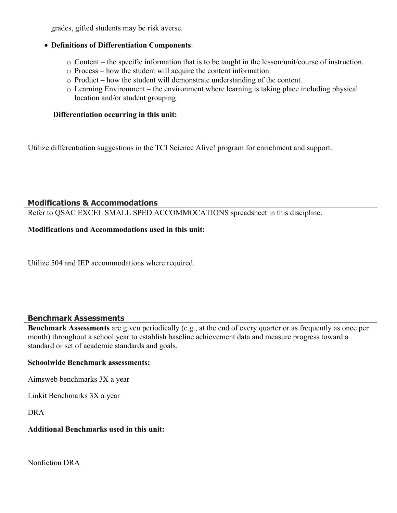grades, gifted students may be risk averse.

#### **Definitions of Differentiation Components**:

- o Content the specific information that is to be taught in the lesson/unit/course of instruction.
- o Process how the student will acquire the content information.
- o Product how the student will demonstrate understanding of the content.
- o Learning Environment the environment where learning is taking place including physical location and/or student grouping

#### **Differentiation occurring in this unit:**

Utilize differentiation suggestions in the TCI Science Alive! program for enrichment and support.

#### **Modifications & Accommodations**

Refer to QSAC EXCEL SMALL SPED ACCOMMOCATIONS spreadsheet in this discipline.

#### **Modifications and Accommodations used in this unit:**

Utilize 504 and IEP accommodations where required.

#### **Benchmark Assessments**

**Benchmark Assessments** are given periodically (e.g., at the end of every quarter or as frequently as once per month) throughout a school year to establish baseline achievement data and measure progress toward a standard or set of academic standards and goals.

#### **Schoolwide Benchmark assessments:**

Aimsweb benchmarks 3X a year

Linkit Benchmarks 3X a year

DRA

#### **Additional Benchmarks used in this unit:**

Nonfiction DRA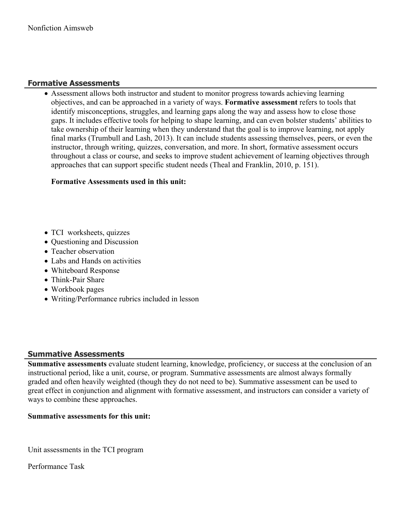#### **Formative Assessments**

 Assessment allows both instructor and student to monitor progress towards achieving learning objectives, and can be approached in a variety of ways. **Formative assessment** refers to tools that identify misconceptions, struggles, and learning gaps along the way and assess how to close those gaps. It includes effective tools for helping to shape learning, and can even bolster students' abilities to take ownership of their learning when they understand that the goal is to improve learning, not apply final marks (Trumbull and Lash, 2013). It can include students assessing themselves, peers, or even the instructor, through writing, quizzes, conversation, and more. In short, formative assessment occurs throughout a class or course, and seeks to improve student achievement of learning objectives through approaches that can support specific student needs (Theal and Franklin, 2010, p. 151).

#### **Formative Assessments used in this unit:**

- TCI worksheets, quizzes
- Questioning and Discussion
- Teacher observation
- Labs and Hands on activities
- Whiteboard Response
- Think-Pair Share
- Workbook pages
- Writing/Performance rubrics included in lesson

#### **Summative Assessments**

**Summative assessments** evaluate student learning, knowledge, proficiency, or success at the conclusion of an instructional period, like a unit, course, or program. Summative assessments are almost always formally graded and often heavily weighted (though they do not need to be). Summative assessment can be used to great effect in conjunction and alignment with formative assessment, and instructors can consider a variety of ways to combine these approaches.

#### **Summative assessments for this unit:**

Unit assessments in the TCI program

Performance Task